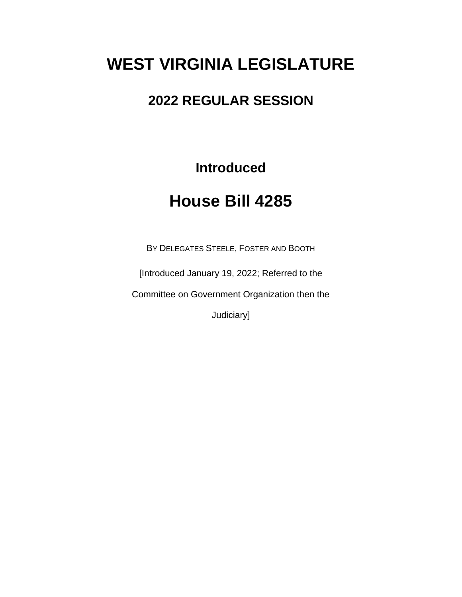# **WEST VIRGINIA LEGISLATURE**

## **2022 REGULAR SESSION**

**Introduced**

## **House Bill 4285**

BY DELEGATES STEELE, FOSTER AND BOOTH

[Introduced January 19, 2022; Referred to the

Committee on Government Organization then the

Judiciary]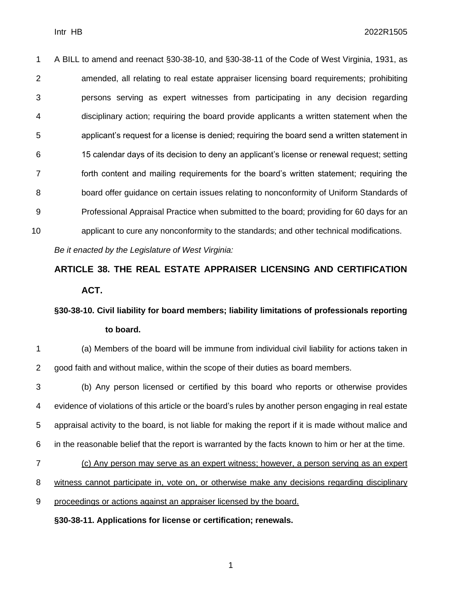A BILL to amend and reenact §30-38-10, and §30-38-11 of the Code of West Virginia, 1931, as amended, all relating to real estate appraiser licensing board requirements; prohibiting persons serving as expert witnesses from participating in any decision regarding disciplinary action; requiring the board provide applicants a written statement when the applicant's request for a license is denied; requiring the board send a written statement in 15 calendar days of its decision to deny an applicant's license or renewal request; setting forth content and mailing requirements for the board's written statement; requiring the board offer guidance on certain issues relating to nonconformity of Uniform Standards of Professional Appraisal Practice when submitted to the board; providing for 60 days for an applicant to cure any nonconformity to the standards; and other technical modifications.

*Be it enacted by the Legislature of West Virginia:*

### **ARTICLE 38. THE REAL ESTATE APPRAISER LICENSING AND CERTIFICATION ACT.**

#### **§30-38-10. Civil liability for board members; liability limitations of professionals reporting to board.**

 (a) Members of the board will be immune from individual civil liability for actions taken in good faith and without malice, within the scope of their duties as board members.

 (b) Any person licensed or certified by this board who reports or otherwise provides evidence of violations of this article or the board's rules by another person engaging in real estate appraisal activity to the board, is not liable for making the report if it is made without malice and in the reasonable belief that the report is warranted by the facts known to him or her at the time.

- (c) Any person may serve as an expert witness; however, a person serving as an expert
- witness cannot participate in, vote on, or otherwise make any decisions regarding disciplinary
- proceedings or actions against an appraiser licensed by the board.

#### **§30-38-11. Applications for license or certification; renewals.**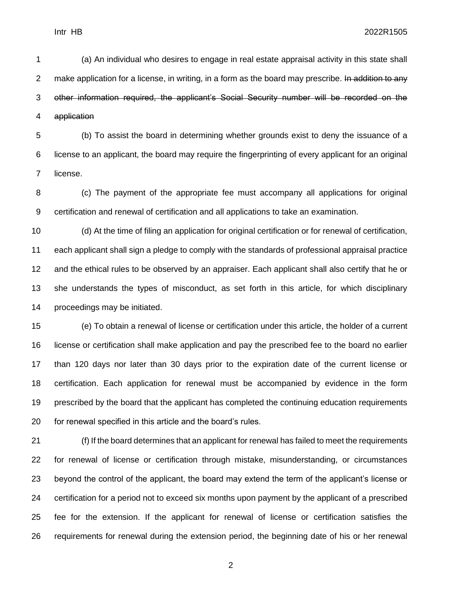(a) An individual who desires to engage in real estate appraisal activity in this state shall 2 make application for a license, in writing, in a form as the board may prescribe. In addition to any other information required, the applicant's Social Security number will be recorded on the application

 (b) To assist the board in determining whether grounds exist to deny the issuance of a license to an applicant, the board may require the fingerprinting of every applicant for an original license.

 (c) The payment of the appropriate fee must accompany all applications for original certification and renewal of certification and all applications to take an examination.

 (d) At the time of filing an application for original certification or for renewal of certification, each applicant shall sign a pledge to comply with the standards of professional appraisal practice 12 and the ethical rules to be observed by an appraiser. Each applicant shall also certify that he or she understands the types of misconduct, as set forth in this article, for which disciplinary proceedings may be initiated.

 (e) To obtain a renewal of license or certification under this article, the holder of a current license or certification shall make application and pay the prescribed fee to the board no earlier than 120 days nor later than 30 days prior to the expiration date of the current license or certification. Each application for renewal must be accompanied by evidence in the form prescribed by the board that the applicant has completed the continuing education requirements for renewal specified in this article and the board's rules.

 (f) If the board determines that an applicant for renewal has failed to meet the requirements for renewal of license or certification through mistake, misunderstanding, or circumstances beyond the control of the applicant, the board may extend the term of the applicant's license or certification for a period not to exceed six months upon payment by the applicant of a prescribed fee for the extension. If the applicant for renewal of license or certification satisfies the requirements for renewal during the extension period, the beginning date of his or her renewal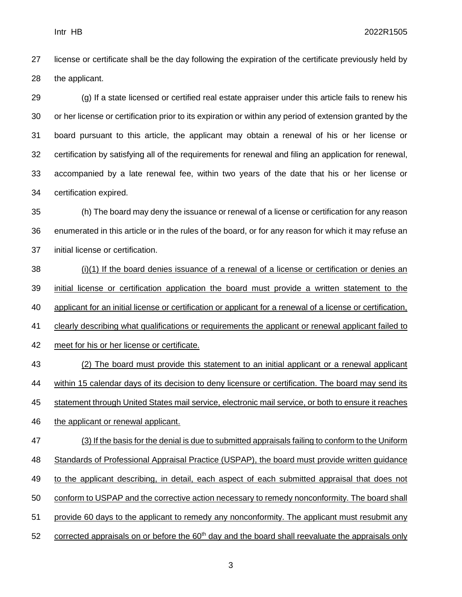Intr HB 2022R1505

 license or certificate shall be the day following the expiration of the certificate previously held by the applicant.

 (g) If a state licensed or certified real estate appraiser under this article fails to renew his or her license or certification prior to its expiration or within any period of extension granted by the board pursuant to this article, the applicant may obtain a renewal of his or her license or certification by satisfying all of the requirements for renewal and filing an application for renewal, accompanied by a late renewal fee, within two years of the date that his or her license or certification expired.

 (h) The board may deny the issuance or renewal of a license or certification for any reason enumerated in this article or in the rules of the board, or for any reason for which it may refuse an initial license or certification.

 (i)(1) If the board denies issuance of a renewal of a license or certification or denies an initial license or certification application the board must provide a written statement to the applicant for an initial license or certification or applicant for a renewal of a license or certification, clearly describing what qualifications or requirements the applicant or renewal applicant failed to meet for his or her license or certificate.

 (2) The board must provide this statement to an initial applicant or a renewal applicant within 15 calendar days of its decision to deny licensure or certification. The board may send its statement through United States mail service, electronic mail service, or both to ensure it reaches the applicant or renewal applicant.

 (3) If the basis for the denial is due to submitted appraisals failing to conform to the Uniform Standards of Professional Appraisal Practice (USPAP), the board must provide written guidance to the applicant describing, in detail, each aspect of each submitted appraisal that does not conform to USPAP and the corrective action necessary to remedy nonconformity. The board shall provide 60 days to the applicant to remedy any nonconformity. The applicant must resubmit any 52 corrected appraisals on or before the  $60<sup>th</sup>$  day and the board shall reevaluate the appraisals only